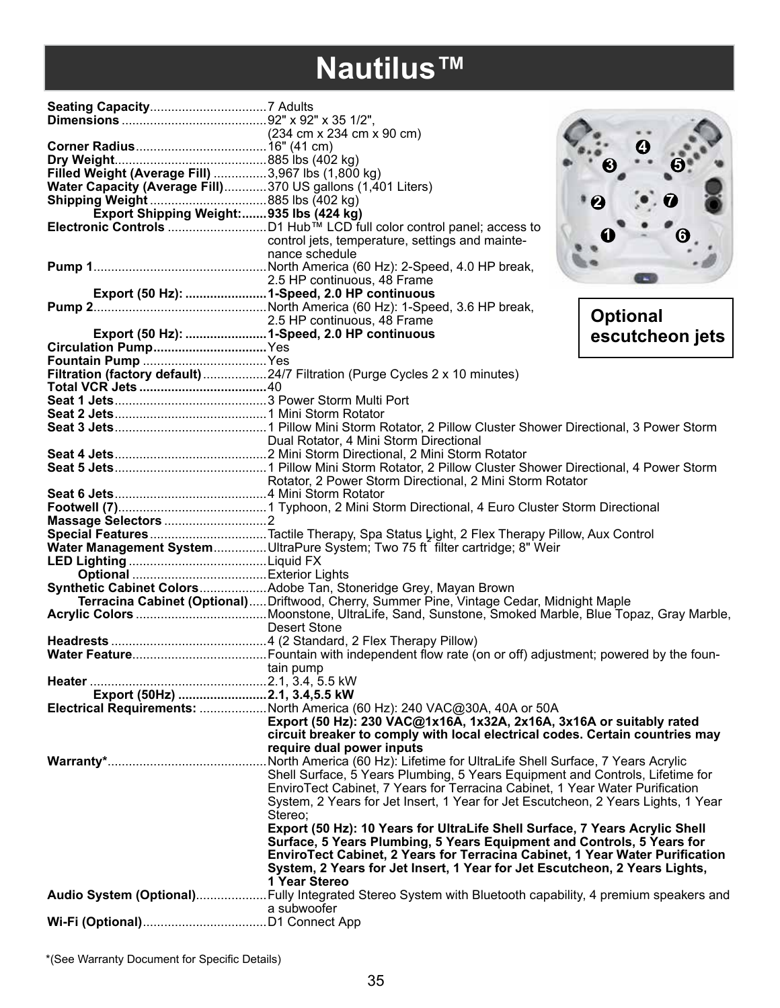## **Nautilus™**

| Filled Weight (Average Fill) 3,967 lbs (1,800 kg)                                |                                                                                                                                                                       |                 |
|----------------------------------------------------------------------------------|-----------------------------------------------------------------------------------------------------------------------------------------------------------------------|-----------------|
| Water Capacity (Average Fill)370 US gallons (1,401 Liters)                       |                                                                                                                                                                       |                 |
|                                                                                  |                                                                                                                                                                       |                 |
| Export Shipping Weight:935 lbs (424 kg)                                          |                                                                                                                                                                       |                 |
|                                                                                  |                                                                                                                                                                       |                 |
|                                                                                  | control jets, temperature, settings and mainte-                                                                                                                       |                 |
|                                                                                  | nance schedule                                                                                                                                                        |                 |
|                                                                                  |                                                                                                                                                                       |                 |
| 2.5 HP continuous, 48 Frame<br><b>Export (50 Hz): 1-Speed, 2.0 HP continuous</b> | 2.5 HP continuous, 48 Frame                                                                                                                                           |                 |
|                                                                                  |                                                                                                                                                                       |                 |
|                                                                                  |                                                                                                                                                                       | <b>Optional</b> |
|                                                                                  | 2.5 HP continuous, 48 Frame                                                                                                                                           |                 |
|                                                                                  |                                                                                                                                                                       | escutcheon jets |
| Circulation PumpYes                                                              |                                                                                                                                                                       |                 |
|                                                                                  |                                                                                                                                                                       |                 |
|                                                                                  | Filtration (factory default) 24/7 Filtration (Purge Cycles 2 x 10 minutes)                                                                                            |                 |
|                                                                                  |                                                                                                                                                                       |                 |
|                                                                                  |                                                                                                                                                                       |                 |
|                                                                                  |                                                                                                                                                                       |                 |
|                                                                                  |                                                                                                                                                                       |                 |
|                                                                                  |                                                                                                                                                                       |                 |
|                                                                                  |                                                                                                                                                                       |                 |
|                                                                                  | Rotator, 2 Power Storm Directional, 2 Mini Storm Rotator                                                                                                              |                 |
|                                                                                  |                                                                                                                                                                       |                 |
|                                                                                  |                                                                                                                                                                       |                 |
|                                                                                  |                                                                                                                                                                       |                 |
|                                                                                  |                                                                                                                                                                       |                 |
|                                                                                  | Special FeaturesTactile Therapy, Spa Status Light, 2 Flex Therapy Pillow, Aux Control<br>Water Management SystemUltraPure System; Two 75 ft filter cartridge; 8" Weir |                 |
|                                                                                  |                                                                                                                                                                       |                 |
|                                                                                  |                                                                                                                                                                       |                 |
|                                                                                  | Synthetic Cabinet ColorsAdobe Tan, Stoneridge Grey, Mayan Brown                                                                                                       |                 |
|                                                                                  | Terracina Cabinet (Optional)Driftwood, Cherry, Summer Pine, Vintage Cedar, Midnight Maple                                                                             |                 |
|                                                                                  |                                                                                                                                                                       |                 |
|                                                                                  | <b>Desert Stone</b>                                                                                                                                                   |                 |
|                                                                                  |                                                                                                                                                                       |                 |
|                                                                                  |                                                                                                                                                                       |                 |
| tain pump                                                                        |                                                                                                                                                                       |                 |
|                                                                                  |                                                                                                                                                                       |                 |
| Export (50Hz) 2.1, 3.4,5.5 kW                                                    |                                                                                                                                                                       |                 |
|                                                                                  | Electrical Requirements: North America (60 Hz): 240 VAC@30A, 40A or 50A                                                                                               |                 |
|                                                                                  | Export (50 Hz): 230 VAC@1x16A, 1x32A, 2x16A, 3x16A or suitably rated                                                                                                  |                 |
|                                                                                  | circuit breaker to comply with local electrical codes. Certain countries may                                                                                          |                 |
|                                                                                  | require dual power inputs                                                                                                                                             |                 |
|                                                                                  |                                                                                                                                                                       |                 |
|                                                                                  | Shell Surface, 5 Years Plumbing, 5 Years Equipment and Controls, Lifetime for                                                                                         |                 |
|                                                                                  | EnviroTect Cabinet, 7 Years for Terracina Cabinet, 1 Year Water Purification                                                                                          |                 |
|                                                                                  | System, 2 Years for Jet Insert, 1 Year for Jet Escutcheon, 2 Years Lights, 1 Year                                                                                     |                 |
|                                                                                  | Stereo;                                                                                                                                                               |                 |
|                                                                                  | Export (50 Hz): 10 Years for UltraLife Shell Surface, 7 Years Acrylic Shell                                                                                           |                 |
|                                                                                  | Surface, 5 Years Plumbing, 5 Years Equipment and Controls, 5 Years for                                                                                                |                 |
|                                                                                  | EnviroTect Cabinet, 2 Years for Terracina Cabinet, 1 Year Water Purification                                                                                          |                 |
|                                                                                  | System, 2 Years for Jet Insert, 1 Year for Jet Escutcheon, 2 Years Lights,                                                                                            |                 |
|                                                                                  | 1 Year Stereo                                                                                                                                                         |                 |
|                                                                                  | Audio System (Optional)Fully Integrated Stereo System with Bluetooth capability, 4 premium speakers and                                                               |                 |
|                                                                                  | a subwoofer                                                                                                                                                           |                 |
|                                                                                  |                                                                                                                                                                       |                 |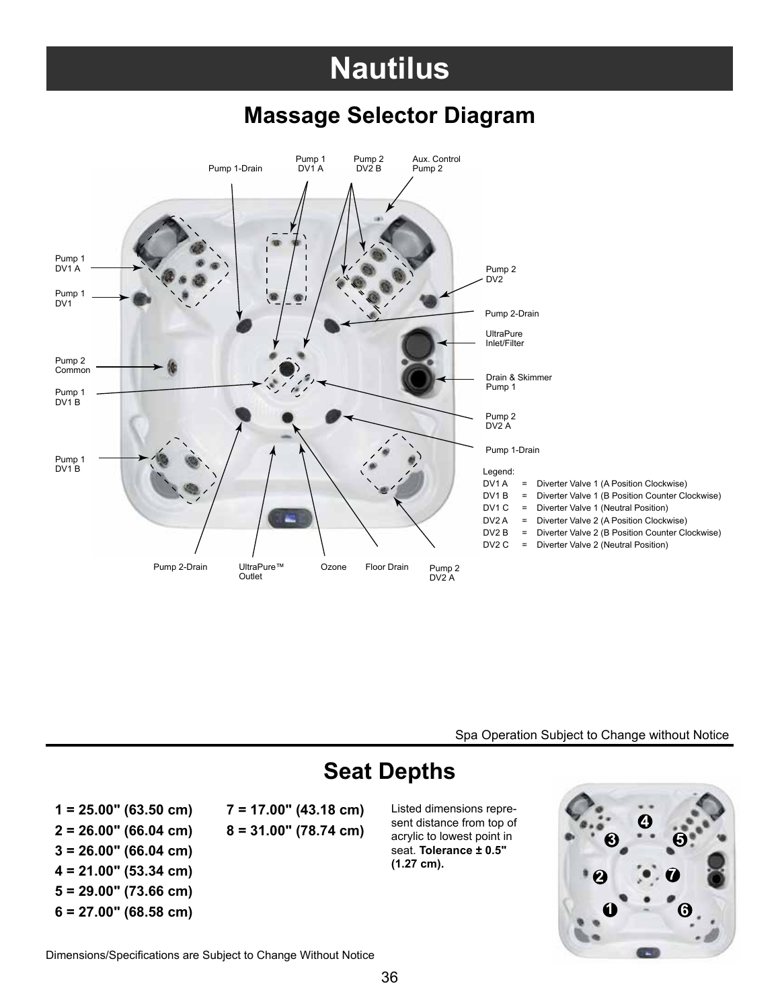## **Nautilus**

#### **Massage Selector Diagram**



Spa Operation Subject to Change without Notice

### **Seat Depths**

**2 = 26.00" (66.04 cm) 8 = 31.00" (78.74 cm) 3 = 26.00" (66.04 cm) 4 = 21.00" (53.34 cm) 5 = 29.00" (73.66 cm)**

**6 = 27.00" (68.58 cm) 1**

**1 = 25.00" (63.50 cm) 7 = 17.00" (43.18 cm)** Listed dimensions repre-

sent distance from top of acrylic to lowest point in seat. **Tolerance ± 0.5" (1.27 cm).**



Dimensions/Specifications are Subject to Change Without Notice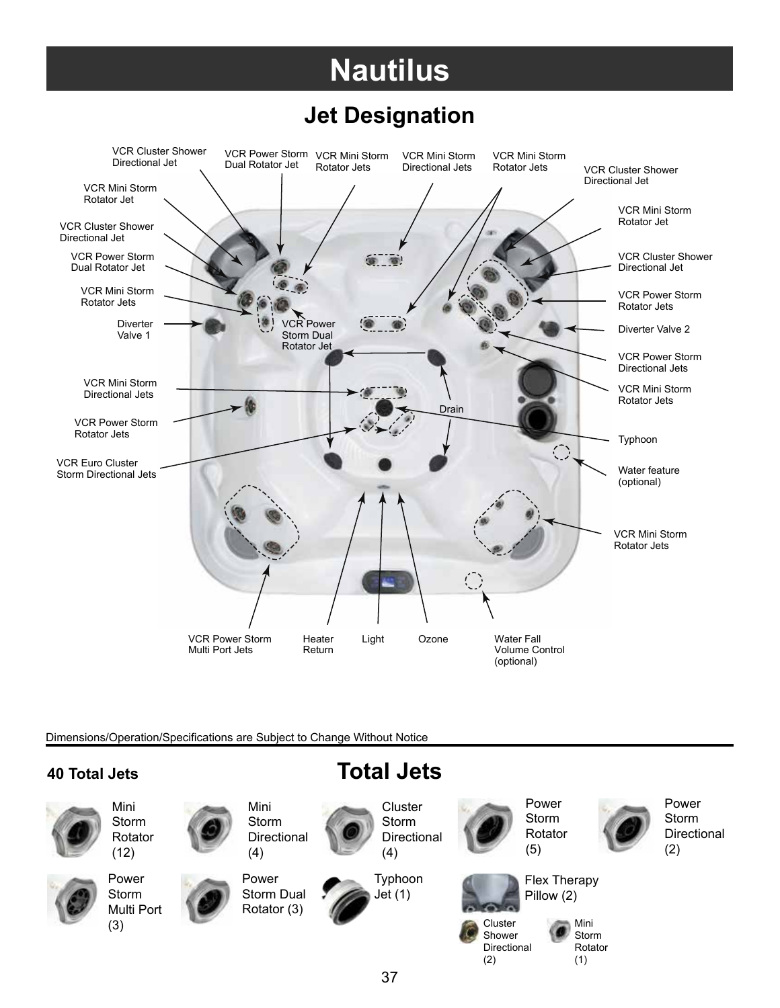# **Nautilus**

### **Jet Designation**



Dimensions/Operation/Specifications are Subject to Change Without Notice